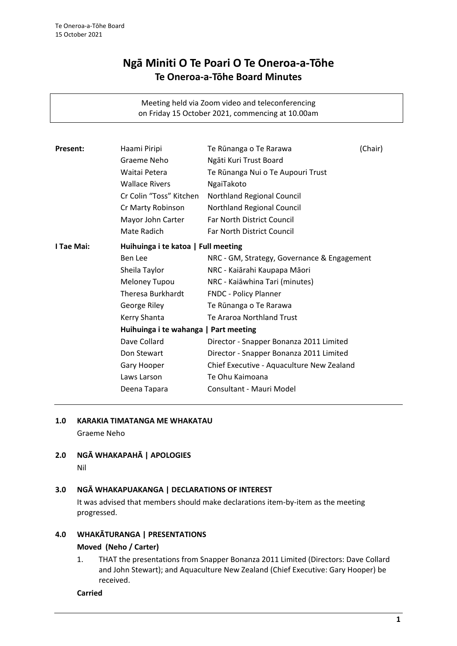# **Ngā Miniti O Te Poari O Te Oneroa-a-Tōhe Te Oneroa-a-Tōhe Board Minutes**

Meeting held via Zoom video and teleconferencing on Friday 15 October 2021, commencing at 10.00am

| Present:   | Haami Piripi                          | Te Rūnanga o Te Rarawa                      | (Chair) |
|------------|---------------------------------------|---------------------------------------------|---------|
|            | Graeme Neho                           | Ngāti Kuri Trust Board                      |         |
|            | Waitai Petera                         | Te Rūnanga Nui o Te Aupouri Trust           |         |
|            | <b>Wallace Rivers</b>                 | NgaiTakoto                                  |         |
|            | Cr Colin "Toss" Kitchen               | Northland Regional Council                  |         |
|            | Cr Marty Robinson                     | Northland Regional Council                  |         |
|            | Mayor John Carter                     | <b>Far North District Council</b>           |         |
|            | Mate Radich                           | Far North District Council                  |         |
| I Tae Mai: | Huihuinga i te katoa   Full meeting   |                                             |         |
|            | Ben Lee                               | NRC - GM, Strategy, Governance & Engagement |         |
|            | Sheila Taylor                         | NRC - Kaiārahi Kaupapa Māori                |         |
|            | Meloney Tupou                         | NRC - Kaiāwhina Tari (minutes)              |         |
|            | <b>Theresa Burkhardt</b>              | FNDC - Policy Planner                       |         |
|            | George Riley                          | Te Rūnanga o Te Rarawa                      |         |
|            | Kerry Shanta                          | Te Araroa Northland Trust                   |         |
|            | Huihuinga i te wahanga   Part meeting |                                             |         |
|            | Dave Collard                          | Director - Snapper Bonanza 2011 Limited     |         |
|            | Don Stewart                           | Director - Snapper Bonanza 2011 Limited     |         |
|            | Gary Hooper                           | Chief Executive - Aquaculture New Zealand   |         |
|            | Laws Larson                           | Te Ohu Kaimoana                             |         |
|            | Deena Tapara                          | Consultant - Mauri Model                    |         |
|            |                                       |                                             |         |

#### **1.0 KARAKIA TIMATANGA ME WHAKATAU**

Graeme Neho

**2.0 NGĀ WHAKAPAHĀ | APOLOGIES** Nil

#### **3.0 NGĀ WHAKAPUAKANGA | DECLARATIONS OF INTEREST**

It was advised that members should make declarations item-by-item as the meeting progressed.

# **4.0 WHAKĀTURANGA | PRESENTATIONS**

#### **Moved (Neho / Carter)**

1. THAT the presentations from Snapper Bonanza 2011 Limited (Directors: Dave Collard and John Stewart); and Aquaculture New Zealand (Chief Executive: Gary Hooper) be received.

**Carried**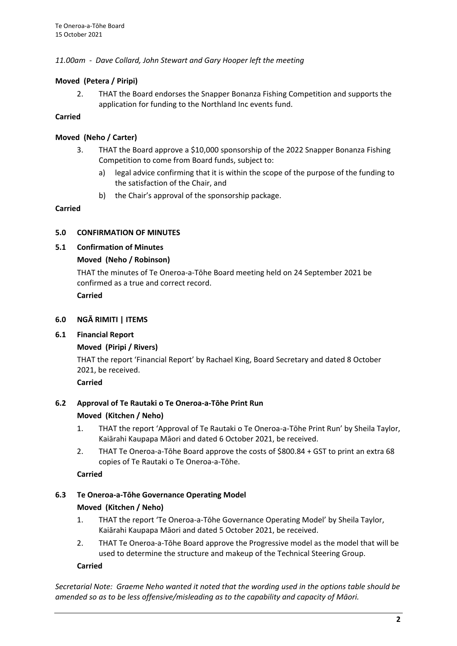## *11.00am - Dave Collard, John Stewart and Gary Hooper left the meeting*

## **Moved (Petera / Piripi)**

2. THAT the Board endorses the Snapper Bonanza Fishing Competition and supports the application for funding to the Northland Inc events fund.

## **Carried**

## **Moved (Neho / Carter)**

- 3. THAT the Board approve a \$10,000 sponsorship of the 2022 Snapper Bonanza Fishing Competition to come from Board funds, subject to:
	- a) legal advice confirming that it is within the scope of the purpose of the funding to the satisfaction of the Chair, and
	- b) the Chair's approval of the sponsorship package.

## **Carried**

## **5.0 CONFIRMATION OF MINUTES**

## **5.1 Confirmation of Minutes**

## **Moved (Neho / Robinson)**

THAT the minutes of Te Oneroa-a-Tōhe Board meeting held on 24 September 2021 be confirmed as a true and correct record.

**Carried**

## **6.0 NGĀ RIMITI | ITEMS**

## **6.1 Financial Report**

## **Moved (Piripi / Rivers)**

THAT the report 'Financial Report' by Rachael King, Board Secretary and dated 8 October 2021, be received.

**Carried**

## **6.2 Approval of Te Rautaki o Te Oneroa-a-Tōhe Print Run**

## **Moved (Kitchen / Neho)**

- 1. THAT the report 'Approval of Te Rautaki o Te Oneroa-a-Tōhe Print Run' by Sheila Taylor, Kaiārahi Kaupapa Māori and dated 6 October 2021, be received.
- 2. THAT Te Oneroa-a-Tōhe Board approve the costs of \$800.84 + GST to print an extra 68 copies of Te Rautaki o Te Oneroa-a-Tōhe.

**Carried**

# **6.3 Te Oneroa-a-Tōhe Governance Operating Model**

## **Moved (Kitchen / Neho)**

- 1. THAT the report 'Te Oneroa-a-Tōhe Governance Operating Model' by Sheila Taylor, Kaiārahi Kaupapa Māori and dated 5 October 2021, be received.
- 2. THAT Te Oneroa-a-Tōhe Board approve the Progressive model as the model that will be used to determine the structure and makeup of the Technical Steering Group.

## **Carried**

*Secretarial Note: Graeme Neho wanted it noted that the wording used in the options table should be amended so as to be less offensive/misleading as to the capability and capacity of Māori.*